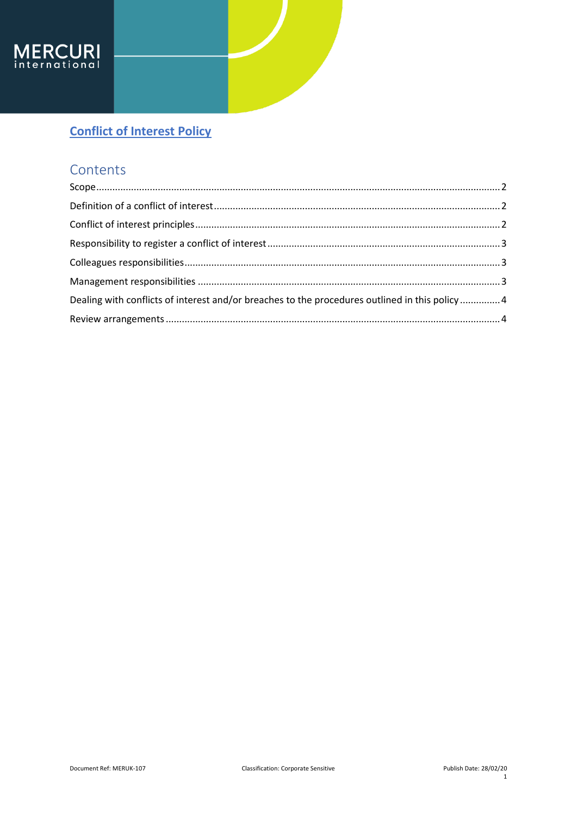

## **Contents**

| Dealing with conflicts of interest and/or breaches to the procedures outlined in this policy  4 |  |
|-------------------------------------------------------------------------------------------------|--|
|                                                                                                 |  |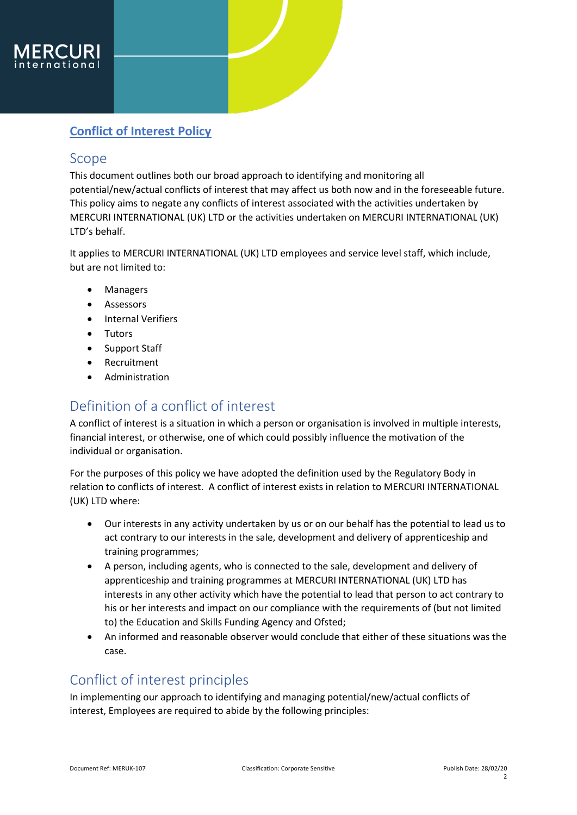

#### <span id="page-1-0"></span>Scope

This document outlines both our broad approach to identifying and monitoring all potential/new/actual conflicts of interest that may affect us both now and in the foreseeable future. This policy aims to negate any conflicts of interest associated with the activities undertaken by MERCURI INTERNATIONAL (UK) LTD or the activities undertaken on MERCURI INTERNATIONAL (UK) LTD's behalf.

It applies to MERCURI INTERNATIONAL (UK) LTD employees and service level staff, which include, but are not limited to:

- Managers
- Assessors
- Internal Verifiers
- Tutors
- Support Staff
- Recruitment
- Administration

### <span id="page-1-1"></span>Definition of a conflict of interest

A conflict of interest is a situation in which a person or organisation is involved in multiple interests, financial interest, or otherwise, one of which could possibly influence the motivation of the individual or organisation.

For the purposes of this policy we have adopted the definition used by the Regulatory Body in relation to conflicts of interest. A conflict of interest exists in relation to MERCURI INTERNATIONAL (UK) LTD where:

- Our interests in any activity undertaken by us or on our behalf has the potential to lead us to act contrary to our interests in the sale, development and delivery of apprenticeship and training programmes;
- A person, including agents, who is connected to the sale, development and delivery of apprenticeship and training programmes at MERCURI INTERNATIONAL (UK) LTD has interests in any other activity which have the potential to lead that person to act contrary to his or her interests and impact on our compliance with the requirements of (but not limited to) the Education and Skills Funding Agency and Ofsted;
- An informed and reasonable observer would conclude that either of these situations was the case.

### <span id="page-1-2"></span>Conflict of interest principles

In implementing our approach to identifying and managing potential/new/actual conflicts of interest, Employees are required to abide by the following principles: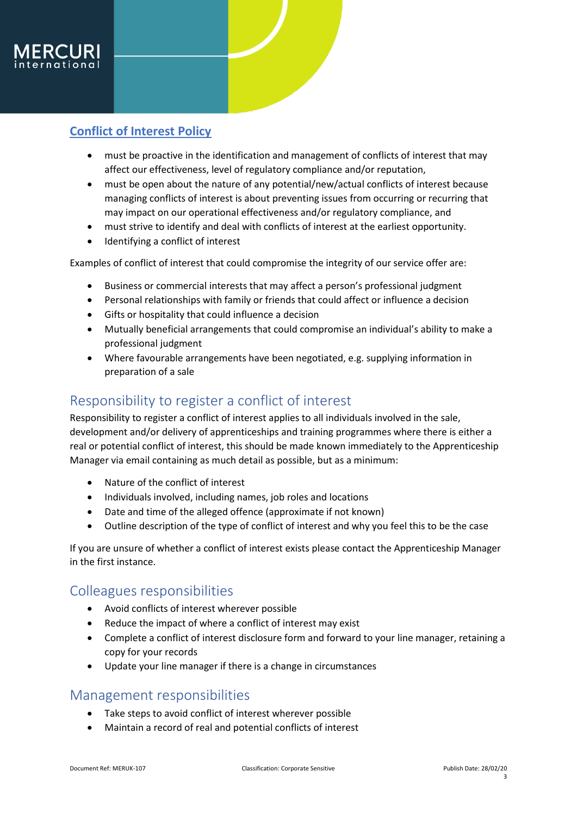

- must be proactive in the identification and management of conflicts of interest that may affect our effectiveness, level of regulatory compliance and/or reputation,
- must be open about the nature of any potential/new/actual conflicts of interest because managing conflicts of interest is about preventing issues from occurring or recurring that may impact on our operational effectiveness and/or regulatory compliance, and
- must strive to identify and deal with conflicts of interest at the earliest opportunity.
- Identifying a conflict of interest

Examples of conflict of interest that could compromise the integrity of our service offer are:

- Business or commercial interests that may affect a person's professional judgment
- Personal relationships with family or friends that could affect or influence a decision
- Gifts or hospitality that could influence a decision
- Mutually beneficial arrangements that could compromise an individual's ability to make a professional judgment
- Where favourable arrangements have been negotiated, e.g. supplying information in preparation of a sale

#### <span id="page-2-0"></span>Responsibility to register a conflict of interest

Responsibility to register a conflict of interest applies to all individuals involved in the sale, development and/or delivery of apprenticeships and training programmes where there is either a real or potential conflict of interest, this should be made known immediately to the Apprenticeship Manager via email containing as much detail as possible, but as a minimum:

- Nature of the conflict of interest
- Individuals involved, including names, job roles and locations
- Date and time of the alleged offence (approximate if not known)
- Outline description of the type of conflict of interest and why you feel this to be the case

If you are unsure of whether a conflict of interest exists please contact the Apprenticeship Manager in the first instance.

### <span id="page-2-1"></span>Colleagues responsibilities

- Avoid conflicts of interest wherever possible
- Reduce the impact of where a conflict of interest may exist
- Complete a conflict of interest disclosure form and forward to your line manager, retaining a copy for your records
- Update your line manager if there is a change in circumstances

#### <span id="page-2-2"></span>Management responsibilities

- Take steps to avoid conflict of interest wherever possible
- Maintain a record of real and potential conflicts of interest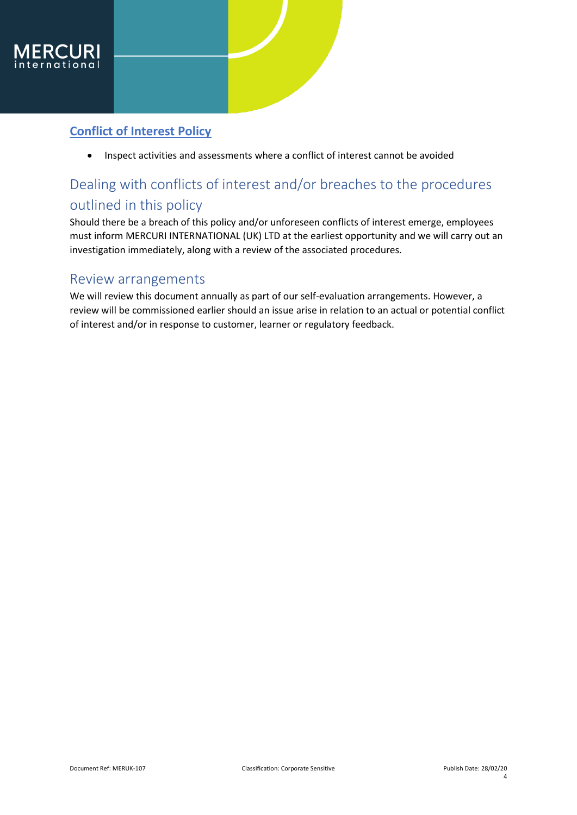

Inspect activities and assessments where a conflict of interest cannot be avoided

# <span id="page-3-0"></span>Dealing with conflicts of interest and/or breaches to the procedures outlined in this policy

Should there be a breach of this policy and/or unforeseen conflicts of interest emerge, employees must inform MERCURI INTERNATIONAL (UK) LTD at the earliest opportunity and we will carry out an investigation immediately, along with a review of the associated procedures.

### <span id="page-3-1"></span>Review arrangements

We will review this document annually as part of our self-evaluation arrangements. However, a review will be commissioned earlier should an issue arise in relation to an actual or potential conflict of interest and/or in response to customer, learner or regulatory feedback.